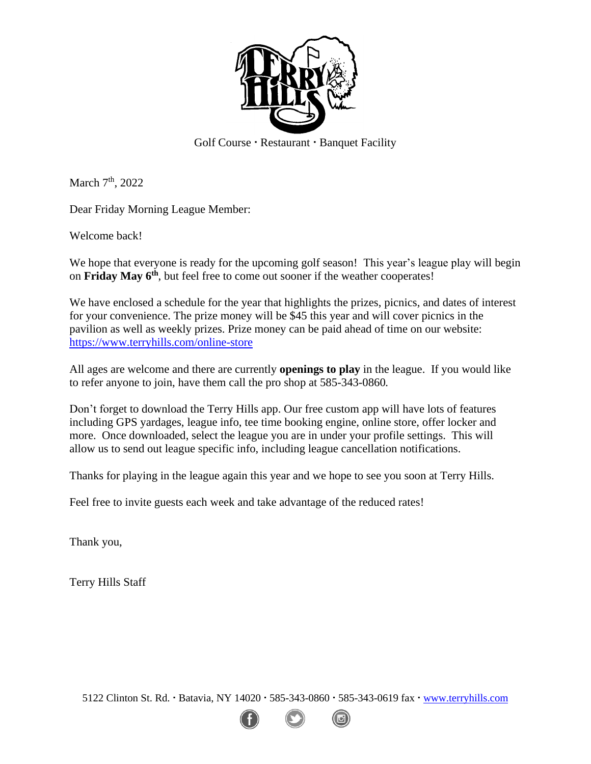

Golf Course · Restaurant · Banquet Facility

March 7<sup>th</sup>, 2022

Dear Friday Morning League Member:

Welcome back!

We hope that everyone is ready for the upcoming golf season! This year's league play will begin on Friday May 6<sup>th</sup>, but feel free to come out sooner if the weather cooperates!

We have enclosed a schedule for the year that highlights the prizes, picnics, and dates of interest for your convenience. The prize money will be \$45 this year and will cover picnics in the pavilion as well as weekly prizes. Prize money can be paid ahead of time on our website: <https://www.terryhills.com/online-store>

All ages are welcome and there are currently **openings to play** in the league. If you would like to refer anyone to join, have them call the pro shop at 585-343-0860*.* 

Don't forget to download the Terry Hills app. Our free custom app will have lots of features including GPS yardages, league info, tee time booking engine, online store, offer locker and more. Once downloaded, select the league you are in under your profile settings. This will allow us to send out league specific info, including league cancellation notifications.

Thanks for playing in the league again this year and we hope to see you soon at Terry Hills.

Feel free to invite guests each week and take advantage of the reduced rates!

Thank you,

Terry Hills Staff

5122 Clinton St. Rd. Batavia, NY 14020 585-343-0860 585-343-0619 fax [www.terryhills.com](http://www.terryhills.com/)